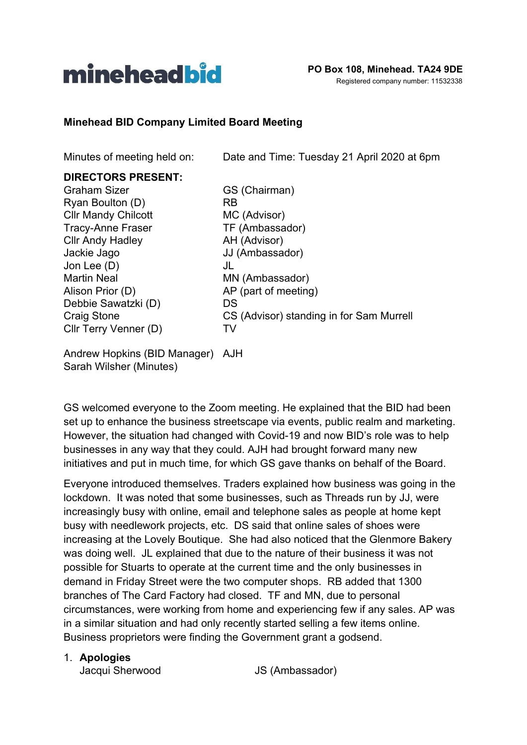

#### **Minehead BID Company Limited Board Meeting**

Minutes of meeting held on: Date and Time: Tuesday 21 April 2020 at 6pm

## **DIRECTORS PRESENT:**

Graham Sizer GS (Chairman) Ryan Boulton (D) RB Cllr Mandy Chilcott MC (Advisor) Tracy-Anne Fraser TF (Ambassador) Cllr Andy Hadley **AH** (Advisor) Jackie Jago JJ (Ambassador) Jon Lee (D) JL Martin Neal MN (Ambassador) Alison Prior (D) AP (part of meeting) Debbie Sawatzki (D) DS Cllr Terry Venner (D) TV

Craig Stone CS (Advisor) standing in for Sam Murrell

Andrew Hopkins (BID Manager) AJH Sarah Wilsher (Minutes)

GS welcomed everyone to the Zoom meeting. He explained that the BID had been set up to enhance the business streetscape via events, public realm and marketing. However, the situation had changed with Covid-19 and now BID's role was to help businesses in any way that they could. AJH had brought forward many new initiatives and put in much time, for which GS gave thanks on behalf of the Board.

Everyone introduced themselves. Traders explained how business was going in the lockdown. It was noted that some businesses, such as Threads run by JJ, were increasingly busy with online, email and telephone sales as people at home kept busy with needlework projects, etc. DS said that online sales of shoes were increasing at the Lovely Boutique. She had also noticed that the Glenmore Bakery was doing well. JL explained that due to the nature of their business it was not possible for Stuarts to operate at the current time and the only businesses in demand in Friday Street were the two computer shops. RB added that 1300 branches of The Card Factory had closed. TF and MN, due to personal circumstances, were working from home and experiencing few if any sales. AP was in a similar situation and had only recently started selling a few items online. Business proprietors were finding the Government grant a godsend.

#### 1. **Apologies**

Jacqui Sherwood JS (Ambassador)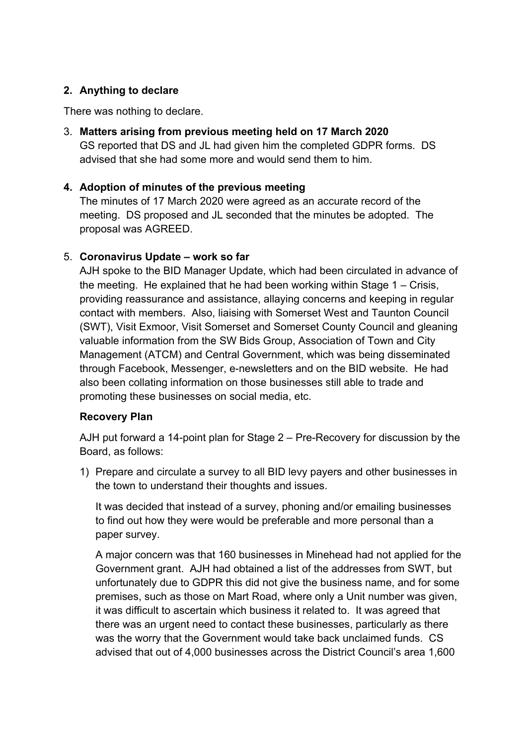# **2. Anything to declare**

There was nothing to declare.

3. **Matters arising from previous meeting held on 17 March 2020** GS reported that DS and JL had given him the completed GDPR forms. DS advised that she had some more and would send them to him.

# **4. Adoption of minutes of the previous meeting**

The minutes of 17 March 2020 were agreed as an accurate record of the meeting. DS proposed and JL seconded that the minutes be adopted. The proposal was AGREED.

## 5. **Coronavirus Update – work so far**

AJH spoke to the BID Manager Update, which had been circulated in advance of the meeting. He explained that he had been working within Stage 1 – Crisis, providing reassurance and assistance, allaying concerns and keeping in regular contact with members. Also, liaising with Somerset West and Taunton Council (SWT), Visit Exmoor, Visit Somerset and Somerset County Council and gleaning valuable information from the SW Bids Group, Association of Town and City Management (ATCM) and Central Government, which was being disseminated through Facebook, Messenger, e-newsletters and on the BID website. He had also been collating information on those businesses still able to trade and promoting these businesses on social media, etc.

## **Recovery Plan**

AJH put forward a 14-point plan for Stage 2 – Pre-Recovery for discussion by the Board, as follows:

1) Prepare and circulate a survey to all BID levy payers and other businesses in the town to understand their thoughts and issues.

It was decided that instead of a survey, phoning and/or emailing businesses to find out how they were would be preferable and more personal than a paper survey.

A major concern was that 160 businesses in Minehead had not applied for the Government grant. AJH had obtained a list of the addresses from SWT, but unfortunately due to GDPR this did not give the business name, and for some premises, such as those on Mart Road, where only a Unit number was given, it was difficult to ascertain which business it related to. It was agreed that there was an urgent need to contact these businesses, particularly as there was the worry that the Government would take back unclaimed funds. CS advised that out of 4,000 businesses across the District Council's area 1,600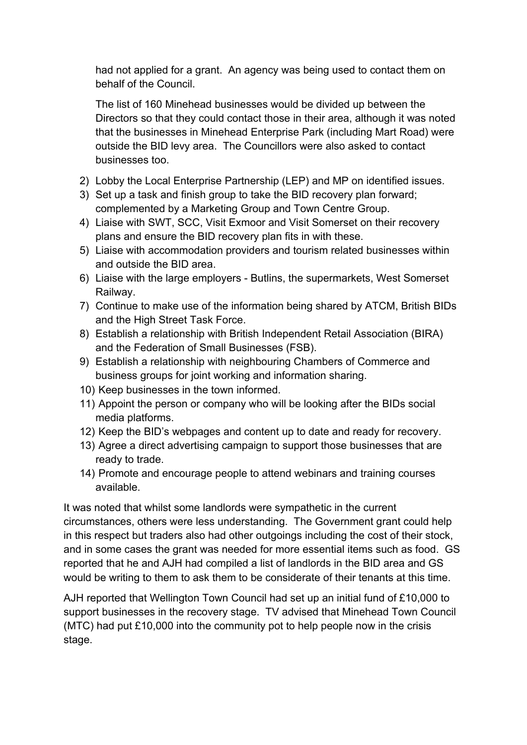had not applied for a grant. An agency was being used to contact them on behalf of the Council.

The list of 160 Minehead businesses would be divided up between the Directors so that they could contact those in their area, although it was noted that the businesses in Minehead Enterprise Park (including Mart Road) were outside the BID levy area. The Councillors were also asked to contact businesses too.

- 2) Lobby the Local Enterprise Partnership (LEP) and MP on identified issues.
- 3) Set up a task and finish group to take the BID recovery plan forward; complemented by a Marketing Group and Town Centre Group.
- 4) Liaise with SWT, SCC, Visit Exmoor and Visit Somerset on their recovery plans and ensure the BID recovery plan fits in with these.
- 5) Liaise with accommodation providers and tourism related businesses within and outside the BID area.
- 6) Liaise with the large employers Butlins, the supermarkets, West Somerset Railway.
- 7) Continue to make use of the information being shared by ATCM, British BIDs and the High Street Task Force.
- 8) Establish a relationship with British Independent Retail Association (BIRA) and the Federation of Small Businesses (FSB).
- 9) Establish a relationship with neighbouring Chambers of Commerce and business groups for joint working and information sharing.
- 10) Keep businesses in the town informed.
- 11) Appoint the person or company who will be looking after the BIDs social media platforms.
- 12) Keep the BID's webpages and content up to date and ready for recovery.
- 13) Agree a direct advertising campaign to support those businesses that are ready to trade.
- 14) Promote and encourage people to attend webinars and training courses available.

It was noted that whilst some landlords were sympathetic in the current circumstances, others were less understanding. The Government grant could help in this respect but traders also had other outgoings including the cost of their stock, and in some cases the grant was needed for more essential items such as food. GS reported that he and AJH had compiled a list of landlords in the BID area and GS would be writing to them to ask them to be considerate of their tenants at this time.

AJH reported that Wellington Town Council had set up an initial fund of £10,000 to support businesses in the recovery stage. TV advised that Minehead Town Council (MTC) had put £10,000 into the community pot to help people now in the crisis stage.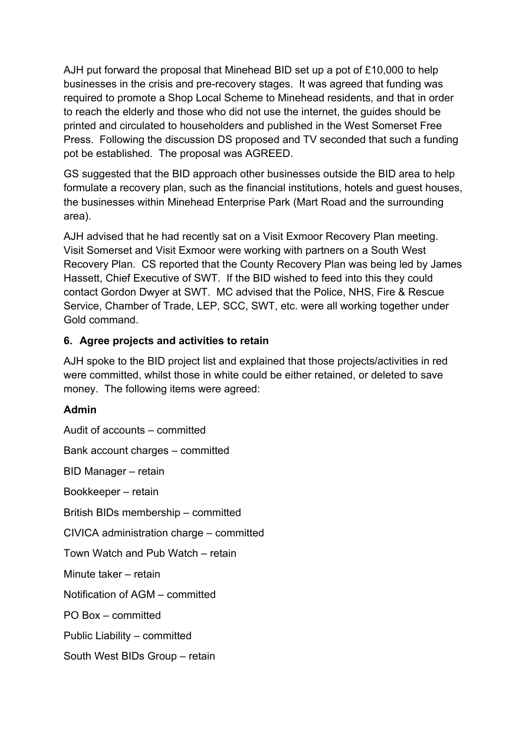AJH put forward the proposal that Minehead BID set up a pot of £10,000 to help businesses in the crisis and pre-recovery stages. It was agreed that funding was required to promote a Shop Local Scheme to Minehead residents, and that in order to reach the elderly and those who did not use the internet, the guides should be printed and circulated to householders and published in the West Somerset Free Press. Following the discussion DS proposed and TV seconded that such a funding pot be established. The proposal was AGREED.

GS suggested that the BID approach other businesses outside the BID area to help formulate a recovery plan, such as the financial institutions, hotels and guest houses, the businesses within Minehead Enterprise Park (Mart Road and the surrounding area).

AJH advised that he had recently sat on a Visit Exmoor Recovery Plan meeting. Visit Somerset and Visit Exmoor were working with partners on a South West Recovery Plan. CS reported that the County Recovery Plan was being led by James Hassett, Chief Executive of SWT. If the BID wished to feed into this they could contact Gordon Dwyer at SWT. MC advised that the Police, NHS, Fire & Rescue Service, Chamber of Trade, LEP, SCC, SWT, etc. were all working together under Gold command.

# **6. Agree projects and activities to retain**

AJH spoke to the BID project list and explained that those projects/activities in red were committed, whilst those in white could be either retained, or deleted to save money. The following items were agreed:

## **Admin**

Audit of accounts – committed Bank account charges – committed BID Manager – retain Bookkeeper – retain British BIDs membership – committed CIVICA administration charge – committed Town Watch and Pub Watch – retain Minute taker – retain Notification of AGM – committed PO Box – committed Public Liability – committed South West BIDs Group – retain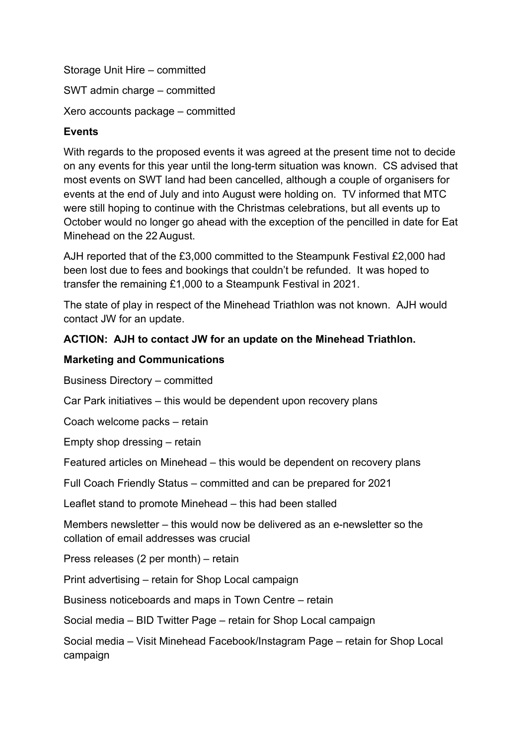Storage Unit Hire – committed SWT admin charge – committed Xero accounts package – committed

# **Events**

With regards to the proposed events it was agreed at the present time not to decide on any events for this year until the long-term situation was known. CS advised that most events on SWT land had been cancelled, although a couple of organisers for events at the end of July and into August were holding on. TV informed that MTC were still hoping to continue with the Christmas celebrations, but all events up to October would no longer go ahead with the exception of the pencilled in date for Eat Minehead on the 22 August.

AJH reported that of the £3,000 committed to the Steampunk Festival £2,000 had been lost due to fees and bookings that couldn't be refunded. It was hoped to transfer the remaining £1,000 to a Steampunk Festival in 2021.

The state of play in respect of the Minehead Triathlon was not known. AJH would contact JW for an update.

# **ACTION: AJH to contact JW for an update on the Minehead Triathlon.**

# **Marketing and Communications**

Business Directory – committed

Car Park initiatives – this would be dependent upon recovery plans

Coach welcome packs – retain

Empty shop dressing – retain

Featured articles on Minehead – this would be dependent on recovery plans

Full Coach Friendly Status – committed and can be prepared for 2021

Leaflet stand to promote Minehead – this had been stalled

Members newsletter – this would now be delivered as an e-newsletter so the collation of email addresses was crucial

Press releases (2 per month) – retain

Print advertising – retain for Shop Local campaign

Business noticeboards and maps in Town Centre – retain

Social media – BID Twitter Page – retain for Shop Local campaign

Social media – Visit Minehead Facebook/Instagram Page – retain for Shop Local campaign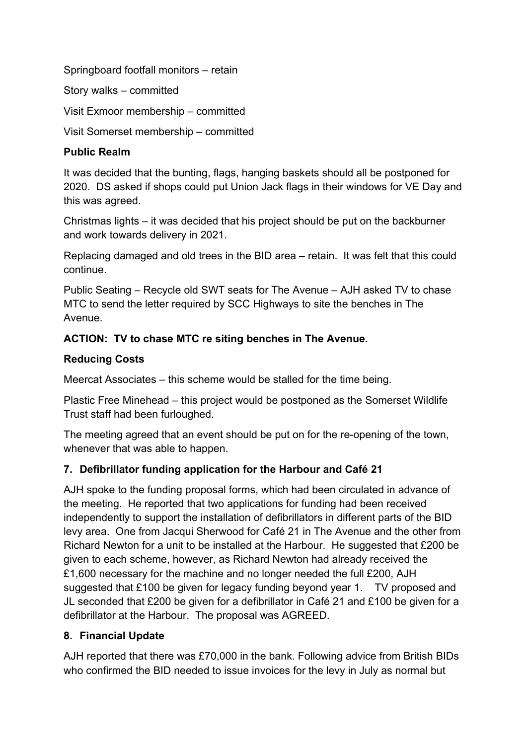Springboard footfall monitors – retain

Story walks – committed

Visit Exmoor membership – committed

Visit Somerset membership – committed

#### **Public Realm**

It was decided that the bunting, flags, hanging baskets should all be postponed for 2020. DS asked if shops could put Union Jack flags in their windows for VE Day and this was agreed.

Christmas lights – it was decided that his project should be put on the backburner and work towards delivery in 2021.

Replacing damaged and old trees in the BID area – retain. It was felt that this could continue.

Public Seating – Recycle old SWT seats for The Avenue – AJH asked TV to chase MTC to send the letter required by SCC Highways to site the benches in The Avenue.

## **ACTION: TV to chase MTC re siting benches in The Avenue.**

## **Reducing Costs**

Meercat Associates – this scheme would be stalled for the time being.

Plastic Free Minehead – this project would be postponed as the Somerset Wildlife Trust staff had been furloughed.

The meeting agreed that an event should be put on for the re-opening of the town, whenever that was able to happen.

## **7. Defibrillator funding application for the Harbour and Café 21**

AJH spoke to the funding proposal forms, which had been circulated in advance of the meeting. He reported that two applications for funding had been received independently to support the installation of defibrillators in different parts of the BID levy area. One from Jacqui Sherwood for Café 21 in The Avenue and the other from Richard Newton for a unit to be installed at the Harbour. He suggested that £200 be given to each scheme, however, as Richard Newton had already received the £1,600 necessary for the machine and no longer needed the full £200, AJH suggested that £100 be given for legacy funding beyond year 1. TV proposed and JL seconded that £200 be given for a defibrillator in Café 21 and £100 be given for a defibrillator at the Harbour. The proposal was AGREED.

## **8. Financial Update**

AJH reported that there was £70,000 in the bank. Following advice from British BIDs who confirmed the BID needed to issue invoices for the levy in July as normal but